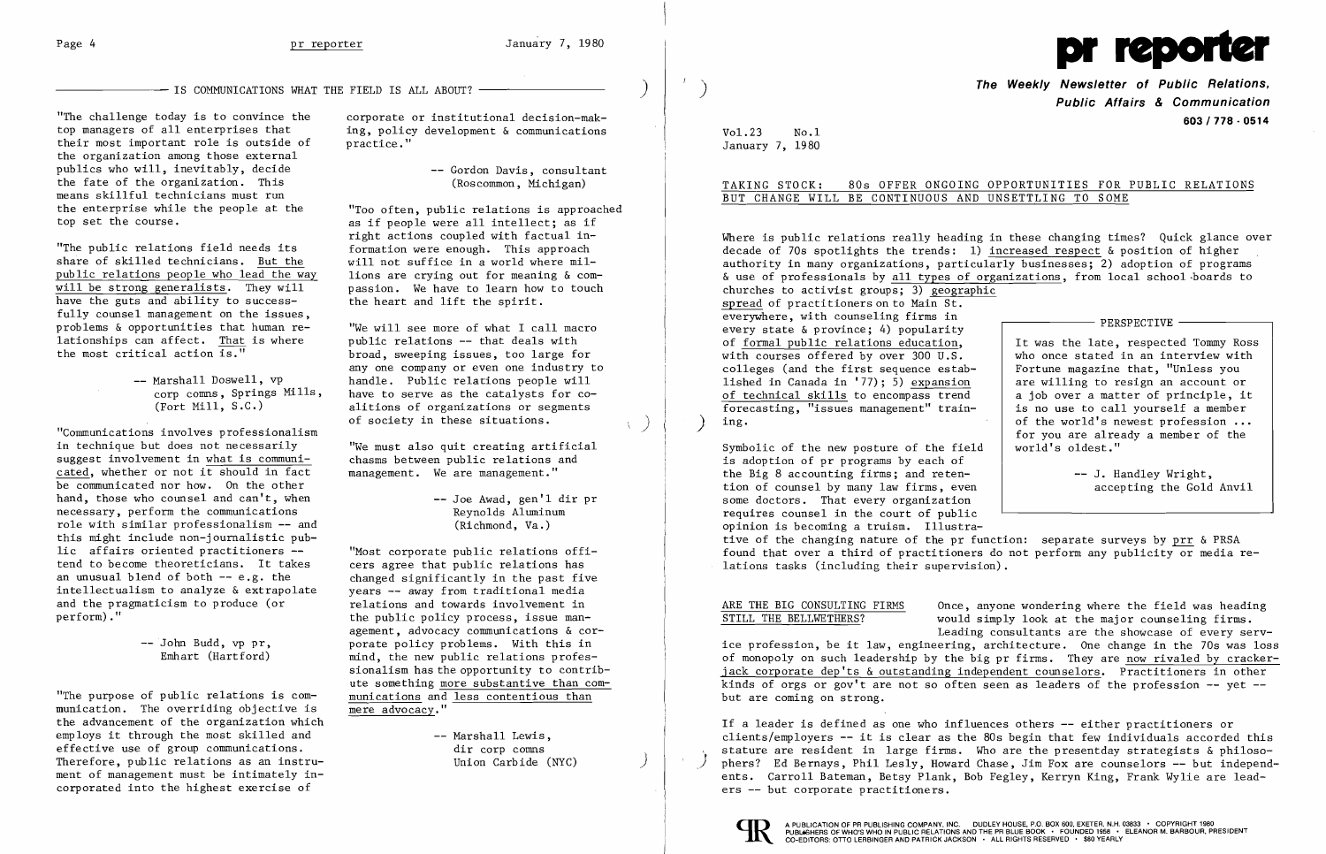-- IS COMMUNICATIONS WHAT THE FIELD IS ALL ABOUT?

"The challenge today is to convince the corporate or institutional decision-mak-<br>top managers of all enterprises that ing, policy development & communications their most important role is outside of practice." the organization among those external publics who will, inevitably, decide  $-$  Gordon Davis, consultant the fate of the organization. This (Roscommon, Michigan) means skillful technicians must run<br>the enterprise while the people at the

"The public relations field needs its formation were enough. This approach share of skilled technicians. But the will not suffice in a world where milshare of skilled technicians. <u>But the</u> will not suffice in a world where mil-<br>public relations people who lead the way lions are crying out for meaning  $\&$  compublic relations people who lead the way<br>will be strong generalists. They will have the guts and ability to successfully counsel management on the issues, problems  $\&$  opportunities that human re-<br>lationships can affect. That is where bublic relations -- that deals with lationships can affect. That is where<br>the most critical action is."

of society in these situations.<br>"Communications involves professionalism in technique but does not necessarily "We must also quit creating artificial<br>suggest involvement in what is communi- chasms between public relations and suggest involvement in what is communicated, whether or not it should in fact  $\qquad$  management. We are management." be communicated nor how. On the other hand, those who counsel and can't, when  $-$  Joe Awad, gen'l dir pr<br>necessary, perform the communications Reynolds Aluminum necessary, perform the communications role with similar professionalism **--** and (Richmond, Va.) this might include non-journalistic public affairs oriented practitioners -- "Most corporate public relations offi-<br>tend to become theoreticians. It takes cers agree that public relations has an unusual blend of both -- e.g. the changed significantly in the past five intellectualism to analyze & extrapolate years -- away from traditional media intellectualism to analyze & extrapolate and the pragmaticism to produce (or and the pragmaticism to produce (or  $r = r$  relations and towards involvement in perform)."

cers agree that public relations has the public policy process, issue management, advocacy communications & cor--- John Budd, vp pr,<br>
Emhart (Hartford) and the new public relations profesmind, the new public relations professionalism has the opportunity to contribute something more substantive than com

 $\mathcal{F}$ 

"The purpose of public relations is com- munications and less contentious than munication. The overriding objective is mere advocacy." the advancement of the organization which employs it through the most skilled and  $\qquad$  -- Marshall Lewis, effective use of group communications.<br>Therefore, public relations as an instru-<br>Union Carbide (NYC) Therefore, public relations as an instrument of management must be intimately incorporated into the highest exercise of

ing, policy development  $\&$  communications

the enterprise while the people at the "Too often, public relations is approached<br>top set the course. es if people were all intellect: as if as if people were all intellect; as if right actions coupled with factual in passion. We have to learn how to touch<br>the heart and lift the spirit.

> broad, sweeping issues, too large for anyone company or even one industry to -- Marshall Doswell, vp andle. Public relations people will<br>
> corp comps, Springs Mills, have to serve as the catalysts for cocorp comns, Springs Mills, have to serve as the catalysts for co-<br>(Fort Mill, S.C.) alitions of organizations or segments alitions of organizations or segments<br>of society in these situations.

 $Vol.23$  No.1 January 7, 1980

Where is public relations really heading in these changing times? Quick glance over decade of 70s spotlights the trends: 1) increased respect & position of higher authority in many organizations, particularly businesses; 2) adoption of programs & use of professionals by all types of organizations, from local school-boards to churches to activist groups; 3) geographic spread of practitioners on to Main St. everywhere, with counseling firms in  $\overline{\qquad}$  PERSPECTIVE every state & province; 4) popularity of <u>formal public relations education</u>,<br>with courses offered by over 300 U.S. Who once stated in an interview with who once stated in an interview with colleges (and the first sequence estab-<br>  $\begin{array}{|l|l|}\n \hline\n 1 \hline\n 1 \hline\n 2 \hline\n 3 \hline\n 4 \hline\n 5 \hline\n 6 \hline\n 7 \hline\n 7 \hline\n 8 \hline\n 9 \hline\n 1 \hline\n 1 \hline\n 2 \hline\n 3 \hline\n 4 \hline\n 5 \hline\n 7 \hline\n 7 \hline\n 7 \hline\n 8 \hline\n 9 \hline\n 1 \hline\n 1 \hline\n 2 \hline\n 3 \hline\n 4 \hline\n$ lished in Canada in '77); 5)  $\frac{expansion}{arg}$  are willing to resign an account or of technical skills to encompass trend a job over a matter of principle, it of technical skills to encompass trend <br>
forecasting, "issues management" train-<br>
<br>
is no use to call yourself a member forecasting, "issues management" train-<br>ing. ) ing. of the world's newest profession **...**  for you are already a member of the

Symbolic of the new posture of the field is adoption of pr programs by each of the Big 8 accounting firms; and reten--- J. Handley Wright, tion of counsel by many law firms, even accepting the Gold Anvil some doctors. That every organization requires counsel in the court of public opinion is becoming a truism. Illustrative of the changing nature of the pr function: separate surveys by prr & PRSA found that over a third of practitioners do not perform any publicity or media relations tasks (including their supervision).

ARE THE BIG CONSULTING FIRMS Once, anyone wondering where the field was heading<br>STILL THE BELLWETHERS? would simply look at the major counseling firms. would simply look at the major counseling firms. Leading consultants are the showcase of every service profession, be it law, engineering, architecture. One change in the 70s was loss of monopoly on such leadership by the big pr firms. They are now rivaled by crackerjack corporate dep'ts & outstanding independent counselors. Practitioners in other kinds of orgs or gov't are not so often seen as leaders of the profession **--** yet  but are coming on strong.



**The Weekly Newsletter of Public Relations,** ) **Public Affairs & Communication 603/778·0514** 

TAKING STOCK: 80s OFFER ONGOING OPPORTUNITIES FOR PUBLIC RELATIONS BUT CHANGE WILL BE CONTINUOUS AND UNSETTLING TO SOME

If a leader is defined as one who influences others **--** either practitioners or clients/employers **--** it is clear as the 80s begin that few individuals accorded this stature are resident in large firms. Who are the presentday strategists & philoso-<br>phers? Ed Bernays, Phil Lesly, Howard Chase, Jim Fox are counselors -- but independents. Carroll Bateman, Betsy Plank, Bob Fegley, Kerryn King, Frank Wylie are leaders **--** but corporate practitioners.